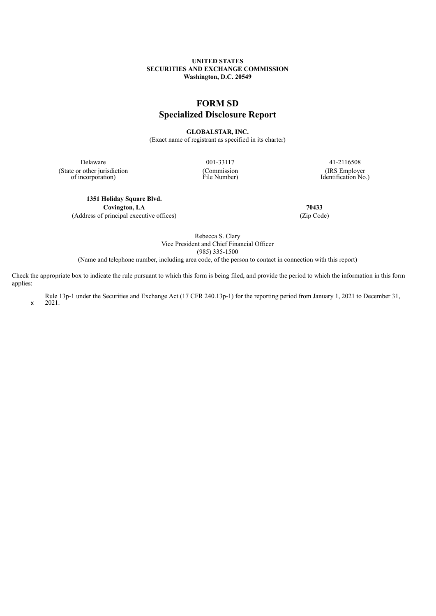# **UNITED STATES SECURITIES AND EXCHANGE COMMISSION Washington, D.C. 20549**

# **FORM SD**

# **Specialized Disclosure Report**

**GLOBALSTAR, INC.**

(Exact name of registrant as specified in its charter)

(State or other jurisdiction of incorporation)

(Commission File Number)

Delaware 001-33117 41-2116508 (IRS Employer Identification No.)

**1351 Holiday Square Blvd. Covington, LA 70433**

(Address of principal executive offices) (Zip Code)

Rebecca S. Clary Vice President and Chief Financial Officer (985) 335-1500

(Name and telephone number, including area code, of the person to contact in connection with this report)

Check the appropriate box to indicate the rule pursuant to which this form is being filed, and provide the period to which the information in this form applies:

x Rule 13p-1 under the Securities and Exchange Act (17 CFR 240.13p-1) for the reporting period from January 1, 2021 to December 31, 2021.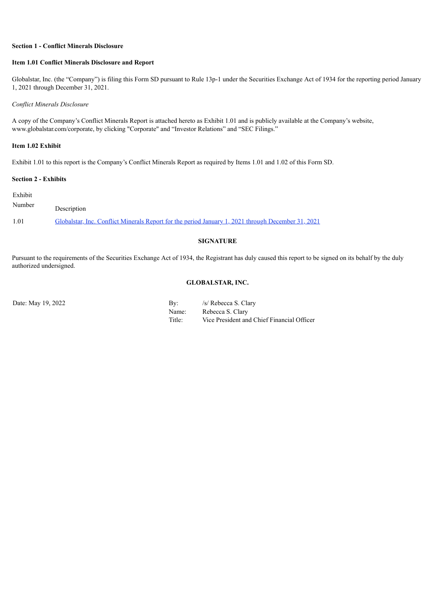# **Section 1 - Conflict Minerals Disclosure**

# **Item 1.01 Conflict Minerals Disclosure and Report**

Globalstar, Inc. (the "Company") is filing this Form SD pursuant to Rule 13p-1 under the Securities Exchange Act of 1934 for the reporting period January 1, 2021 through December 31, 2021.

#### *Conflict Minerals Disclosure*

A copy of the Company's Conflict Minerals Report is attached hereto as Exhibit 1.01 and is publicly available at the Company's website, www.globalstar.com/corporate, by clicking "Corporate" and "Investor Relations" and "SEC Filings."

# **Item 1.02 Exhibit**

Exhibit 1.01 to this report is the Company's Conflict Minerals Report as required by Items 1.01 and 1.02 of this Form SD.

# **Section 2 - Exhibits**

| Exhibit |                                                                                                    |
|---------|----------------------------------------------------------------------------------------------------|
| Number  | Description                                                                                        |
| 1.01    | Globalstar, Inc. Conflict Minerals Report for the period January 1, 2021 through December 31, 2021 |

# **SIGNATURE**

Pursuant to the requirements of the Securities Exchange Act of 1934, the Registrant has duly caused this report to be signed on its behalf by the duly authorized undersigned.

# **GLOBALSTAR, INC.**

Date: May 19, 2022 By: /s/ Rebecca S. Clary Name: Rebecca S. Clary Title: Vice President and Chief Financial Officer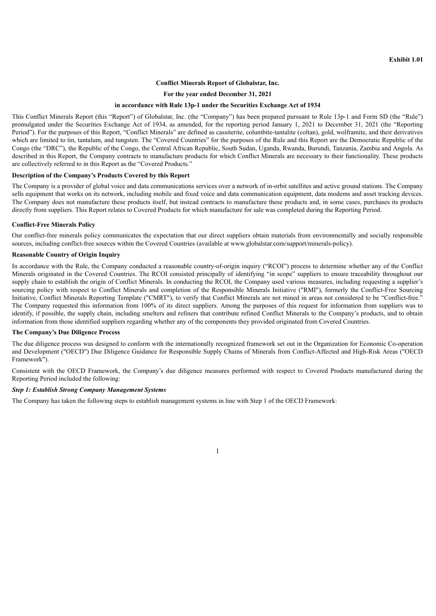# **Conflict Minerals Report of Globalstar, Inc.**

#### **For the year ended December 31, 2021**

#### **in accordance with Rule 13p-1 under the Securities Exchange Act of 1934**

<span id="page-2-0"></span>This Conflict Minerals Report (this "Report") of Globalstar, Inc. (the "Company") has been prepared pursuant to Rule 13p-1 and Form SD (the "Rule") promulgated under the Securities Exchange Act of 1934, as amended, for the reporting period January 1, 2021 to December 31, 2021 (the "Reporting Period"). For the purposes of this Report, "Conflict Minerals" are defined as cassiterite, columbite-tantalite (coltan), gold, wolframite, and their derivatives which are limited to tin, tantalum, and tungsten. The "Covered Countries" for the purposes of the Rule and this Report are the Democratic Republic of the Congo (the "DRC"), the Republic of the Congo, the Central African Republic, South Sudan, Uganda, Rwanda, Burundi, Tanzania, Zambia and Angola. As described in this Report, the Company contracts to manufacture products for which Conflict Minerals are necessary to their functionality. These products are collectively referred to in this Report as the "Covered Products."

## **Description of the Company's Products Covered by this Report**

The Company is a provider of global voice and data communications services over a network of in-orbit satellites and active ground stations. The Company sells equipment that works on its network, including mobile and fixed voice and data communication equipment, data modems and asset tracking devices. The Company does not manufacture these products itself, but instead contracts to manufacture these products and, in some cases, purchases its products directly from suppliers. This Report relates to Covered Products for which manufacture for sale was completed during the Reporting Period.

#### **Conflict-Free Minerals Policy**

Our conflict-free minerals policy communicates the expectation that our direct suppliers obtain materials from environmentally and socially responsible sources, including conflict-free sources within the Covered Countries (available at www.globalstar.com/support/minerals-policy).

### **Reasonable Country of Origin Inquiry**

In accordance with the Rule, the Company conducted a reasonable country-of-origin inquiry ("RCOI") process to determine whether any of the Conflict Minerals originated in the Covered Countries. The RCOI consisted principally of identifying "in scope" suppliers to ensure traceability throughout our supply chain to establish the origin of Conflict Minerals. In conducting the RCOI, the Company used various measures, including requesting a supplier's sourcing policy with respect to Conflict Minerals and completion of the Responsible Minerals Initiative ("RMI"), formerly the Conflict-Free Sourcing Initiative, Conflict Minerals Reporting Template ("CMRT"), to verify that Conflict Minerals are not mined in areas not considered to be "Conflict-free." The Company requested this information from 100% of its direct suppliers. Among the purposes of this request for information from suppliers was to identify, if possible, the supply chain, including smelters and refiners that contribute refined Conflict Minerals to the Company's products, and to obtain information from those identified suppliers regarding whether any of the components they provided originated from Covered Countries.

#### **The Company's Due Diligence Process**

The due diligence process was designed to conform with the internationally recognized framework set out in the Organization for Economic Co-operation and Development ("OECD") Due Diligence Guidance for Responsible Supply Chains of Minerals from Conflict-Affected and High-Risk Areas ("OECD Framework").

Consistent with the OECD Framework, the Company's due diligence measures performed with respect to Covered Products manufactured during the Reporting Period included the following:

# *Step 1: Establish Strong Company Management Systems*

The Company has taken the following steps to establish management systems in line with Step 1 of the OECD Framework:

1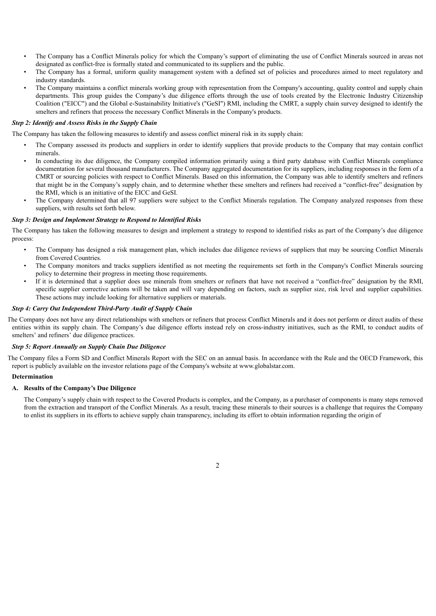- The Company has a Conflict Minerals policy for which the Company's support of eliminating the use of Conflict Minerals sourced in areas not designated as conflict-free is formally stated and communicated to its suppliers and the public.
- The Company has a formal, uniform quality management system with a defined set of policies and procedures aimed to meet regulatory and industry standards.
- The Company maintains a conflict minerals working group with representation from the Company's accounting, quality control and supply chain departments. This group guides the Company's due diligence efforts through the use of tools created by the Electronic Industry Citizenship Coalition ("EICC") and the Global e-Sustainability Initiative's ("GeSI") RMI, including the CMRT, a supply chain survey designed to identify the smelters and refiners that process the necessary Conflict Minerals in the Company's products.

# *Step 2: Identify and Assess Risks in the Supply Chain*

The Company has taken the following measures to identify and assess conflict mineral risk in its supply chain:

- The Company assessed its products and suppliers in order to identify suppliers that provide products to the Company that may contain conflict minerals.
- In conducting its due diligence, the Company compiled information primarily using a third party database with Conflict Minerals compliance documentation for several thousand manufacturers. The Company aggregated documentation for its suppliers, including responses in the form of a CMRT or sourcing policies with respect to Conflict Minerals. Based on this information, the Company was able to identify smelters and refiners that might be in the Company's supply chain, and to determine whether these smelters and refiners had received a "conflict-free" designation by the RMI, which is an initiative of the EICC and GeSI.
- The Company determined that all 97 suppliers were subject to the Conflict Minerals regulation. The Company analyzed responses from these suppliers, with results set forth below.

# *Step 3: Design and Implement Strategy to Respond to Identified Risks*

The Company has taken the following measures to design and implement a strategy to respond to identified risks as part of the Company's due diligence process:

- The Company has designed a risk management plan, which includes due diligence reviews of suppliers that may be sourcing Conflict Minerals from Covered Countries.
- The Company monitors and tracks suppliers identified as not meeting the requirements set forth in the Company's Conflict Minerals sourcing policy to determine their progress in meeting those requirements.
- If it is determined that a supplier does use minerals from smelters or refiners that have not received a "conflict-free" designation by the RMI, specific supplier corrective actions will be taken and will vary depending on factors, such as supplier size, risk level and supplier capabilities. These actions may include looking for alternative suppliers or materials.

## *Step 4: Carry Out Independent Third-Party Audit of Supply Chain*

The Company does not have any direct relationships with smelters or refiners that process Conflict Minerals and it does not perform or direct audits of these entities within its supply chain. The Company's due diligence efforts instead rely on cross-industry initiatives, such as the RMI, to conduct audits of smelters' and refiners' due diligence practices.

#### *Step 5: Report Annually on Supply Chain Due Diligence*

The Company files a Form SD and Conflict Minerals Report with the SEC on an annual basis. In accordance with the Rule and the OECD Framework, this report is publicly available on the investor relations page of the Company's website at www.globalstar.com.

#### **Determination**

# **A. Results of the Company's Due Diligence**

The Company's supply chain with respect to the Covered Products is complex, and the Company, as a purchaser of components is many steps removed from the extraction and transport of the Conflict Minerals. As a result, tracing these minerals to their sources is a challenge that requires the Company to enlist its suppliers in its efforts to achieve supply chain transparency, including its effort to obtain information regarding the origin of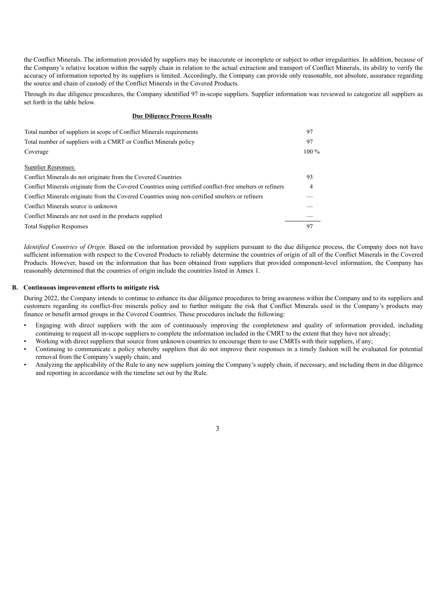the Conflict Minerals. The information provided by suppliers may be inaccurate or incomplete or subject to other irregularities. In addition, because of the Company's relative location within the supply chain in relation to the actual extraction and transport of Conflict Minerals, its ability to verify the accuracy of information reported by its suppliers is limited. Accordingly, the Company can provide only reasonable, not absolute, assurance regarding the source and chain of custody of the Conflict Minerals in the Covered Products.

Through its due diligence procedures, the Company identified 97 in-scope suppliers. Supplier information was reviewed to categorize all suppliers as set forth in the table below.

#### **Due Diligence Process Results**

| Total number of suppliers in scope of Conflict Minerals requirements                                      | 97             |
|-----------------------------------------------------------------------------------------------------------|----------------|
| Total number of suppliers with a CMRT or Conflict Minerals policy                                         | 97             |
| Coverage                                                                                                  | $100\%$        |
| Supplier Responses:                                                                                       |                |
| Conflict Minerals do not originate from the Covered Countries                                             | 93             |
| Conflict Minerals originate from the Covered Countries using certified conflict-free smelters or refiners | $\overline{4}$ |
| Conflict Minerals originate from the Covered Countries using non-certified smelters or refiners           |                |
| Conflict Minerals source is unknown                                                                       |                |
| Conflict Minerals are not used in the products supplied                                                   |                |
| <b>Total Supplier Responses</b>                                                                           | 97             |

*Identified Countries of Origin.* Based on the information provided by suppliers pursuant to the due diligence process, the Company does not have sufficient information with respect to the Covered Products to reliably determine the countries of origin of all of the Conflict Minerals in the Covered Products. However, based on the information that has been obtained from suppliers that provided component-level information, the Company has reasonably determined that the countries of origin include the countries listed in Annex 1.

## **B. Continuous improvement efforts to mitigate risk**

During 2022, the Company intends to continue to enhance its due diligence procedures to bring awareness within the Company and to its suppliers and customers regarding its conflict-free minerals policy and to further mitigate the risk that Conflict Minerals used in the Company's products may finance or benefit armed groups in the Covered Countries. These procedures include the following:

- Engaging with direct suppliers with the aim of continuously improving the completeness and quality of information provided, including continuing to request all in-scope suppliers to complete the information included in the CMRT to the extent that they have not already;
- Working with direct suppliers that source from unknown countries to encourage them to use CMRTs with their suppliers, if any;
- Continuing to communicate a policy whereby suppliers that do not improve their responses in a timely fashion will be evaluated for potential removal from the Company's supply chain; and
- Analyzing the applicability of the Rule to any new suppliers joining the Company's supply chain, if necessary, and including them in due diligence and reporting in accordance with the timeline set out by the Rule.

3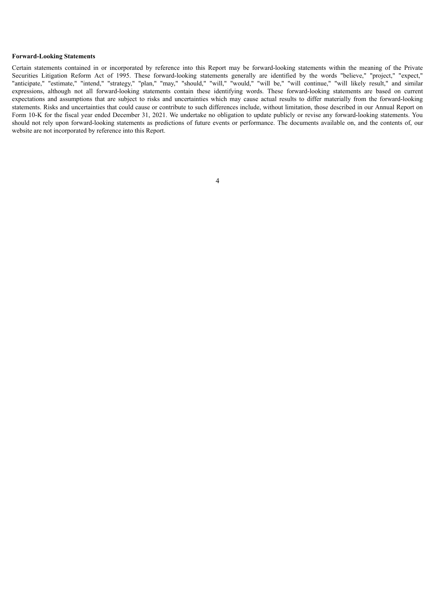#### **Forward-Looking Statements**

Certain statements contained in or incorporated by reference into this Report may be forward-looking statements within the meaning of the Private Securities Litigation Reform Act of 1995. These forward-looking statements generally are identified by the words "believe," "project," "expect," "anticipate," "estimate," "intend," "strategy," "plan," "may," "should," "will," "would," "will be," "will continue," "will likely result," and similar expressions, although not all forward-looking statements contain these identifying words. These forward-looking statements are based on current expectations and assumptions that are subject to risks and uncertainties which may cause actual results to differ materially from the forward-looking statements. Risks and uncertainties that could cause or contribute to such differences include, without limitation, those described in our Annual Report on Form 10-K for the fiscal year ended December 31, 2021. We undertake no obligation to update publicly or revise any forward-looking statements. You should not rely upon forward-looking statements as predictions of future events or performance. The documents available on, and the contents of, our website are not incorporated by reference into this Report.